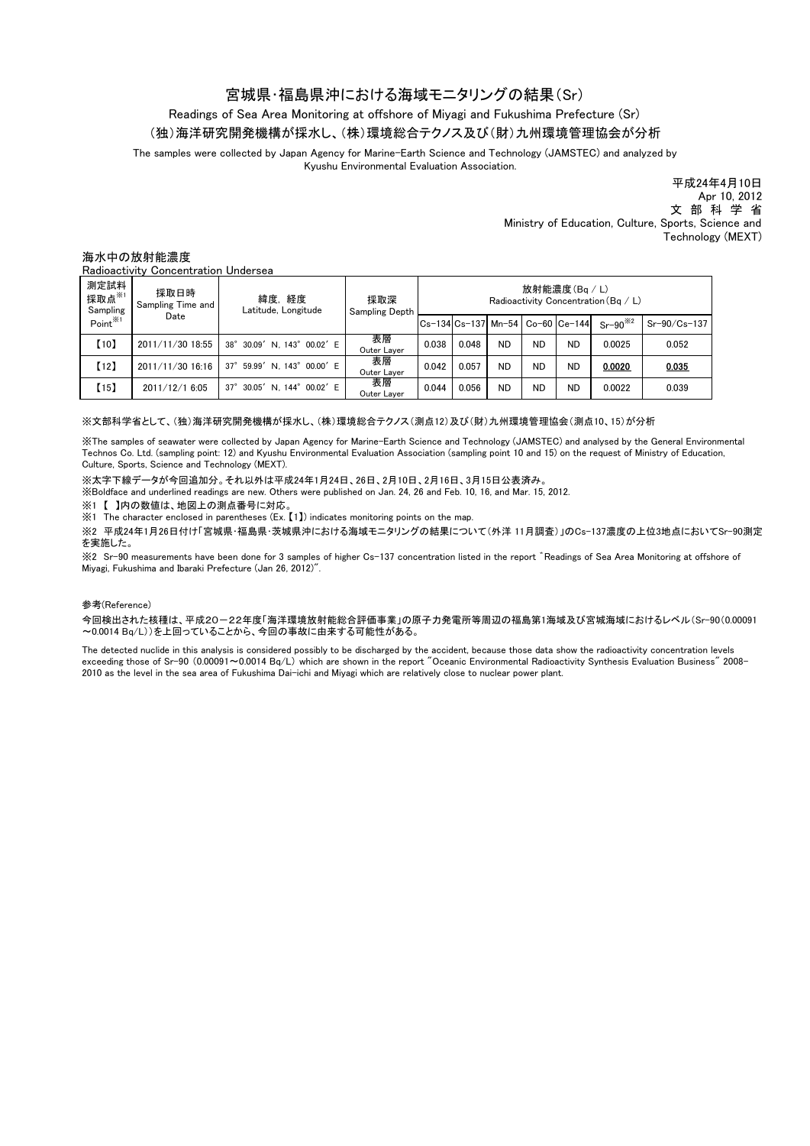## 宮城県・福島県沖における海域モニタリングの結果(Sr)

# Readings of Sea Area Monitoring at offshore of Miyagi and Fukushima Prefecture (Sr)

(独)海洋研究開発機構が採水し、(株)環境総合テクノス及び(財)九州環境管理協会が分析

The samples were collected by Japan Agency for Marine-Earth Science and Technology (JAMSTEC) and analyzed by Kyushu Environmental Evaluation Association.

> 平成24年4月10日 Apr 10, 2012 文 部 科 学 省 Ministry of Education, Culture, Sports, Science and Technology (MEXT)

### 海水中の放射能濃度

Radioactivity Concentration Undersea

| 測定試料<br>採取点※1<br>Sampling<br>Point <sup>※1</sup> | 採取日時<br>Sampling Time and<br>Date | 緯度,経度<br>Latitude, Longitude          | 採取深<br><b>Sampling Depth</b> | 放射能濃度(Bq / L)<br>Radioactivity Concentration ( $Ba / L$ ) |       |           |           |                                   |              |                |
|--------------------------------------------------|-----------------------------------|---------------------------------------|------------------------------|-----------------------------------------------------------|-------|-----------|-----------|-----------------------------------|--------------|----------------|
|                                                  |                                   |                                       |                              |                                                           |       |           |           | ICs-134 Cs-137 Mn-54 Co-60 Ce-144 | $Sr-90^{32}$ | $Sr-90/Cs-137$ |
| [10]                                             | 2011/11/30 18:55                  | 38° 30.09' N. 143° 00.02' E           | 表層<br>Outer Laver            | 0.038                                                     | 0.048 | <b>ND</b> | <b>ND</b> | <b>ND</b>                         | 0.0025       | 0.052          |
| [12]                                             | 2011/11/30 16:16                  | 59.99' N. 143° 00.00' E<br>$37^\circ$ | 表層<br>Outer Layer            | 0.042                                                     | 0.057 | <b>ND</b> | <b>ND</b> | <b>ND</b>                         | 0.0020       | 0.035          |
| (15)                                             | 2011/12/1 6:05                    | 30.05' N. 144° 00.02' E<br>$37^\circ$ | 表層<br>Outer Laver            | 0.044                                                     | 0.056 | <b>ND</b> | <b>ND</b> | <b>ND</b>                         | 0.0022       | 0.039          |

#### ※文部科学省として、(独)海洋研究開発機構が採水し、(株)環境総合テクノス(測点12)及び(財)九州環境管理協会(測点10、15)が分析

※The samples of seawater were collected by Japan Agency for Marine-Earth Science and Technology (JAMSTEC) and analysed by the General Environmental Technos Co. Ltd. (sampling point: 12) and Kyushu Environmental Evaluation Association (sampling point 10 and 15) on the request of Ministry of Education, Culture, Sports, Science and Technology (MEXT).

※太字下線データが今回追加分。それ以外は平成24年1月24日、26日、2月10日、2月16日、3月15日公表済み。

※Boldface and underlined readings are new. Others were published on Jan. 24, 26 and Feb. 10, 16, and Mar. 15, 2012.

※1 【 】内の数値は、地図上の測点番号に対応。

<sup>22</sup> The character enclosed in parentheses (Ex. [1]) indicates monitoring points on the map.

※2 平成24年1月26日付け「宮城県・福島県・茨城県沖における海域モニタリングの結果について(外洋 11月調査)」のCs-137濃度の上位3地点においてSr-90測定 を実施した。

※2 Sr-90 measurements have been done for 3 samples of higher Cs-137 concentration listed in the report ゛Readings of Sea Area Monitoring at offshore of Miyagi, Fukushima and Ibaraki Prefecture (Jan 26, 2012)".

#### 参考(Reference)

今回検出された核種は、平成20-22年度「海洋環境放射能総合評価事業」の原子力発電所等周辺の福島第1海域及び宮城海域におけるレベル(Sr-90(0.00091 ~0.0014 Bq/L))を上回っていることから、今回の事故に由来する可能性がある。

The detected nuclide in this analysis is considered possibly to be discharged by the accident, because those data show the radioactivity concentration levels exceeding those of Sr-90 (0.00091~0.0014 Bq/L) which are shown in the report "Oceanic Environmental Radioactivity Synthesis Evaluation Business" 2008- 2010 as the level in the sea area of Fukushima Dai-ichi and Miyagi which are relatively close to nuclear power plant.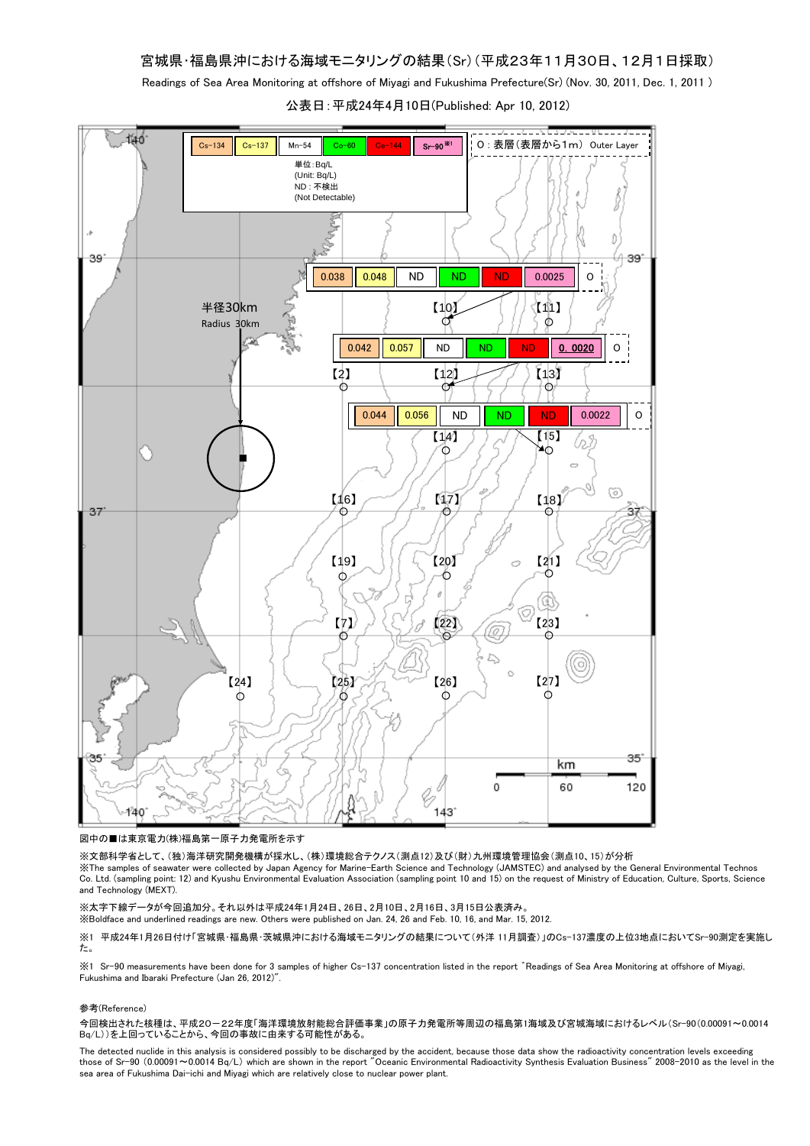Readings of Sea Area Monitoring at offshore of Miyagi and Fukushima Prefecture(Sr) (Nov. 30, 2011, Dec. 1, 2011 )

公表日:平成24年4月10日(Published: Apr 10, 2012)



図中の■は東京電力(株)福島第一原子力発電所を示す

※文部科学省として、(独)海洋研究開発機構が採水し、(株)環境総合テクノス(測点12)及び(財)九州環境管理協会(測点10、15)が分析

※The samples of seawater were collected by Japan Agency for Marine-Earth Science and Technology (JAMSTEC) and analysed by the General Environmental Technos Co. Ltd. (sampling point: 12) and Kyushu Environmental Evaluation Association (sampling point 10 and 15) on the request of Ministry of Education, Culture, Sports, Science and Technology (MEXT).

※太字下線データが今回追加分。それ以外は平成24年1月24日、26日、2月10日、2月16日、3月15日公表済み。

※Boldface and underlined readings are new. Others were published on Jan. 24, 26 and Feb. 10, 16, and Mar. 15, 2012.

※1 平成24年1月26日付け「宮城県・福島県・茨城県沖における海域モニタリングの結果について(外洋 11月調査)」のCs-137濃度の上位3地点においてSr-90測定を実施し た。

※1 Sr-90 measurements have been done for 3 samples of higher Cs-137 concentration listed in the report ゛Readings of Sea Area Monitoring at offshore of Miyagi, Fukushima and Ibaraki Prefecture (Jan 26, 2012)".

#### 参考(Reference)

今回検出された核種は、平成20-22年度「海洋環境放射能総合評価事業」の原子力発電所等周辺の福島第1海域及び宮城海域におけるレベル(Sr-90(0.00091~0.0014 Bq/L))を上回っていることから、今回の事故に由来する可能性がある。

The detected nuclide in this analysis is considered possibly to be discharged by the accident, because those data show the radioactivity concentration levels exceeding those of Sr-90 (0.00091~0.0014 Bq/L) which are shown in the report "Oceanic Environmental Radioactivity Synthesis Evaluation Business" 2008-2010 as the level in the sea area of Fukushima Dai-ichi and Miyagi which are relatively close to nuclear power plant.